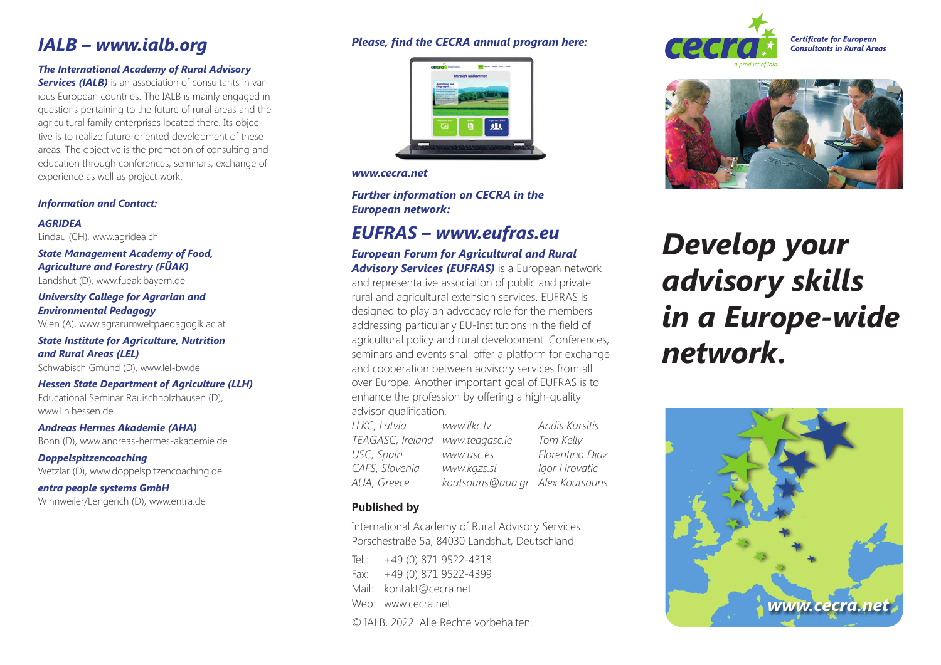## *IALB – www.ialb.org*

## *The International Academy of Rural Advisory*

*Services (IALB)* is an association of consultants in various European countries. The IALB is mainly engaged in questions pertaining to the future of rural areas and the agricultural family enterprises located there. Its objective is to realize future-oriented development of these areas. The objective is the promotion of consulting and education through conferences, seminars, exchange of experience as well as project work.

#### *Information and Contact:*

*AGRIDEA* Lindau (CH), www.agridea.ch

*State Management Academy of Food, Agriculture and Forestry (FÜAK)* Landshut (D), www.fueak.bayern.de

*University College for Agrarian and Environmental Pedagogy*

Wien (A), www.agrarumweltpaedagogik.ac.at

*State Institute for Agriculture, Nutrition and Rural Areas (LEL)*  Schwäbisch Gmünd (D), www.lel-bw.de

*Hessen State Department of Agriculture (LLH)* 

Educational Seminar Rauischholzhausen (D), www.llh.hessen.de

*Andreas Hermes Akademie (AHA)* Bonn (D), www.andreas-hermes-akademie.de

*Doppelspitzencoaching*  Wetzlar (D), www.doppelspitzencoaching.de

*entra people systems GmbH* Winnweiler/Lengerich (D), www.entra.de

## *Please, find the CECRA annual program here:*



*www.cecra.net*

*Further information on CECRA in the European network:*

## *EUFRAS – www.eufras.eu*

*European Forum for Agricultural and Rural*  **Advisory Services (EUFRAS)** is a European network and representative association of public and private rural and agricultural extension services. EUFRAS is designed to play an advocacy role for the members addressing particularly EU-Institutions in the field of agricultural policy and rural development. Conferences, seminars and events shall offer a platform for exchange and cooperation between advisory services from all over Europe. Another important goal of EUFRAS is to enhance the profession by offering a high-quality advisor qualification.

*LLKC, Latvia www.llkc.lv Andis Kursitis TEAGASC, Ireland www.teagasc.ie Tom Kelly USC, Spain www.usc.es Florentino Diaz CAFS, Slovenia www.kgzs.si Igor Hrovatic AUA, Greece koutsouris@aua.gr Alex Koutsouris*

## **Published by**

International Academy of Rural Advisory Services Porschestraße 5a, 84030 Landshut, Deutschland

Tel:  $+49(0)8719522-4318$ 

Fax: +49 (0) 871 9522-4399

- Mail: kontakt@cecra.net
- Web: www.cecra.net

© IALB, 2022. Alle Rechte vorbehalten.





# *Develop your advisory skills in a Europe-wide network.*